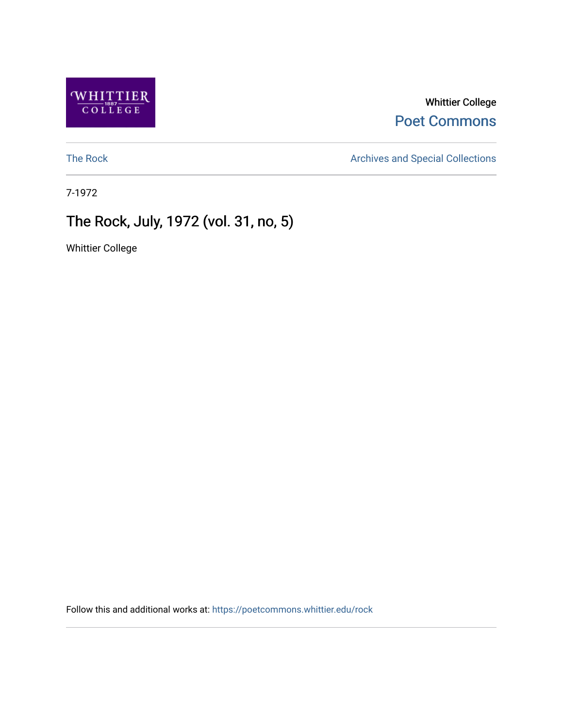

Whittier College [Poet Commons](https://poetcommons.whittier.edu/) 

[The Rock](https://poetcommons.whittier.edu/rock) **Archives and Special Collections** 

7-1972

# The Rock, July, 1972 (vol. 31, no, 5)

Whittier College

Follow this and additional works at: [https://poetcommons.whittier.edu/rock](https://poetcommons.whittier.edu/rock?utm_source=poetcommons.whittier.edu%2Frock%2F86&utm_medium=PDF&utm_campaign=PDFCoverPages)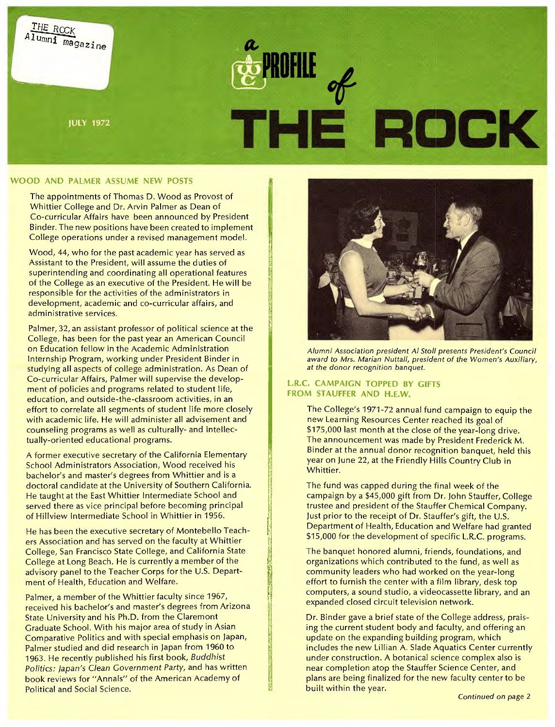

ida<br>Islam

# **WOOD AND PALMER ASSUME NEW POSTS**

The appointments of Thomas D. Wood as Provost of Whittier College and Dr. Arvin Palmer as Dean of Co-curricular Affairs have been announced by President Binder. The new positions have been created to implement College operations under a revised management model.

Wood, 44, who for the past academic year has served as Assistant to the President, will assume the duties of superintending and coordinating all operational features of the College as an executive of the President. He will be responsible for the activities of the administrators in development, academic and co-curricular affairs, and administrative services.

Palmer, 32, an assistant professor of political science at the College, has been for the past year an American Council on Education fellow in the Academic Administration Internship Program, working under President Binder in studying all aspects of college administration. As Dean of Co-curricular Affairs, Palmer will supervise the development of policies and programs related to student life, education, and outside-the-classroom activities, in an effort to correlate all segments of student life more closely with academic life. He will administer all advisement and counseling programs as well as culturally- and intellectually-oriented educational programs.

A former executive secretary of the California Elementary School Administrators Association, Wood received his bachelor's and master's degrees from Whittier and is a doctoral candidate at the University of Southern California. He taught at the East Whittier Intermediate School and served there as vice principal before becoming principal of Hillview Intermediate School in Whittier in 1956.

He has been the executive secretary of Montebello Teachers Association and has served on the faculty at Whittier College, San Francisco State College, and California State College at Long Beach. He is currently a member of the advisory panel to the Teacher Corps for the U.S. Department of Health, Education and Welfare.

Palmer, a member of the Whittier faculty since 1967, received his bachelor's and master's degrees from Arizona State University and his Ph.D. from the Claremont Graduate School. With his major area of study in Asian Comparative Politics and with special emphasis on Japan, Palmer studied and did research in Japan from 1960 to 1963. He recently published his first book, Buddhist Politics: Japan's Clean Government Party, and has written book reviews for "Annals" of the American Academy of Political and Social Science.



Alumni Association president Al Stoll presents President's Council award to Mrs. Marian Nuttall, president of the Women's Auxiliary, at the donor recognition banquet.

### **L.R.C. CAMPAIGN TOPPED BY GIFTS FROM STAUFFER AND H.E.W.**

The College's 1971-72 annual fund campaign to equip the new Learning Resources Center reached its goal of \$175,000 last month at the close of the year-long drive. The announcement was made by President Frederick M. Binder at the annual donor recognition banquet, held this year on June 22, at the Friendly Hills Country Club in Whittier.

The fund was capped during the final week of the campaign by a \$45,000 gift from Dr. John Stauffer, College trustee and president of the Stauffer Chemical Company. Just prior to the receipt of Dr. Stauffer's gift, the U.S. Department of Health, Education and Welfare had granted \$15,000 for the development of specific L.R.C. programs.

The banquet honored alumni, friends, foundations, and organizations which contributed to the fund, as well as community leaders who had worked on the year-long effort to furnish the center with a film library, desk top computers, a sound studio, a videocassette library, and an expanded closed circuit television network.

Dr. Binder gave a brief state of the College address, praising the current student body and faculty, and offering an update on the expanding building program, which includes the new Lillian A. Slade Aquatics Center currently under construction. A botanical science complex also is near completion atop the Stauffer Science Center, and plans are being finalized for the new faculty center to be built within the year.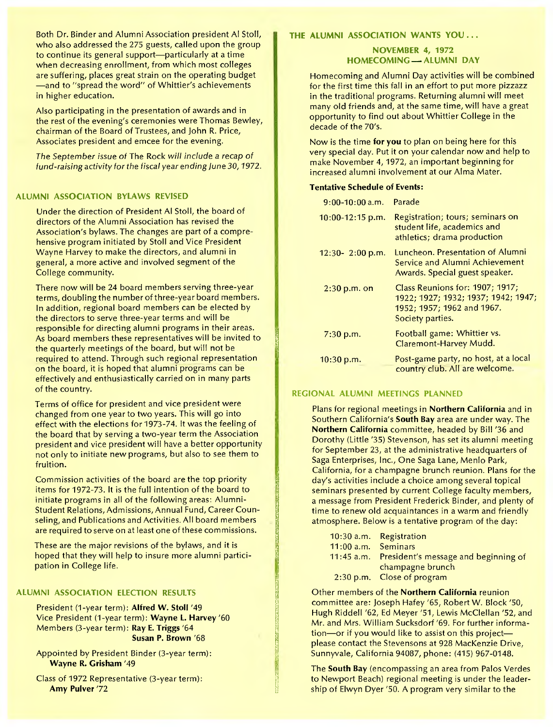Both Dr. Binder and Alumni Association president Al Stoll, who also addressed the 275 guests, called upon the group to continue its general support—particularly at a time when decreasing enrollment, from which most colleges are suffering, places great strain on the operating budget —and to "spread the word" of Whittier's achievements in higher education.

Also participating in the presentation of awards and in the rest of the evening's ceremonies were Thomas Bewley, chairman of the Board of Trustees, and John R. Price, Associates president and emcee for the evening.

The September issue of The Rock will include a recap of fund-raising activity for the fiscal year ending June 30, 1972.

#### **ALUMNI ASSOCIATION BYLAWS REVISED**

Under the direction of President Al Stoll, the board of directors of the Alumni Association has revised the Association's bylaws. The changes are part of a comprehensive program initiated by Stoll and Vice President Wayne Harvey to make the directors, and alumni in general, a more active and involved segment of the College community.

There now will be 24 board members serving three-year terms, doubling the number of three-year board members. In addition, regional board members can be elected by the directors to serve three-year terms and will be responsible for directing alumni programs in their areas. As board members these representatives will be invited to the quarterly meetings of the board, but will not be required to attend. Through such regional representation on the board, it is hoped that alumni programs can be effectively and enthusiastically carried on in many parts of the country.

Terms of office for president and vice president were changed from one year to two years. This will go into effect with the elections for 1973-74. It was the feeling of the board that by serving a two-year term the Association president and vice president will have a better opportunity not only to initiate new programs, but also to see them to fruition.

Commission activities of the board are the top priority items for 1972-73. It is the full intention of the board to initiate programs in all of the following areas: Alumni-Student Relations, Admissions, Annual Fund, Career Counseling, and Publications and Activities. All board members are required to serve on at least one of these commissions.

These are the major revisions of the bylaws, and it is hoped that they will help to insure more alumni participation in College life.

#### **ALUMNI ASSOCIATION ELECTION RESULTS**

President (1-year term): **Alfred W. Stoll** '49 Vice President (1-year term): **Wayne L. Harvey** '60 Members (3-year term): **Ray E. Triggs** '64 **Susan P. Brown** '68

Appointed by President Binder (3-year term): **Wayne R. Grisham** '49

Class of 1972 Representative (3-year term): **Amy Pulver** '72

# THE ALUMNI ASSOCIATION WANTS YOU...

#### **NOVEMBER 4, 1972 HOMECOMING - ALUMNI DAY**

Homecoming and Alumni Day activities will be combined for the first time this fall in an effort to put more pizzazz in the traditional programs. Returning alumni will meet many old friends and, at the same time, will have a great opportunity to find out about Whittier College in the decade of the 70's.

Now is the time for **you** to plan on being here for this very special day. Put it on your calendar now and help to make November 4, 1972, an important beginning for increased alumni involvement at our Alma Mater.

#### **Tentative Schedule of Events:**

| $9:00-10:00$ a.m.   | <b>Parade</b>                                                                                                            |
|---------------------|--------------------------------------------------------------------------------------------------------------------------|
| $10:00-12:15$ p.m.  | Registration; tours; seminars on<br>student life, academics and<br>athletics; drama production                           |
| $12:30 - 2:00$ p.m. | Luncheon. Presentation of Alumni<br>Service and Alumni Achievement<br>Awards. Special guest speaker.                     |
| $2:30$ p.m. on      | Class Reunions for: 1907; 1917;<br>1922; 1927; 1932; 1937; 1942; 1947;<br>1952; 1957; 1962 and 1967.<br>Society parties. |
| $7:30$ p.m.         | Football game: Whittier vs.<br>Claremont-Harvey Mudd.                                                                    |
| 10:30 p.m.          | Post-game party, no host, at a local<br>country club. All are welcome.                                                   |

#### **REGIONAL ALUMNI MEETINGS PLANNED**

Plans for regional meetings in **Northern California** and in Southern California's **South Bay** area are under way. The **Northern California** committee, headed by Bill '36 and Dorothy (Little '35) Stevenson, has set its alumni meeting for September 23, at the administrative headquarters of Saga Enterprises, Inc., One Saga Lane, Menlo Park, California, for a champagne brunch reunion. Plans for the day's activities include a choice among several topical seminars presented by current College faculty members, a message from President Frederick Binder, and plenty of time to renew old acquaintances in a warm and friendly atmosphere. Below is a tentative program of the day:

|                     | 10:30 a.m. Registration              |
|---------------------|--------------------------------------|
| 11:00 a.m. Seminars |                                      |
| $11:45$ a.m.        | President's message and beginning of |
|                     | champagne brunch                     |
|                     | 2:30 p.m. Close of program           |

Other members of the **Northern California** reunion committee are: Joseph Hafey '65, Robert W. Block '50, Hugh Riddell '62, Ed Meyer '51, Lewis McClellan '52, and Mr. and Mrs. William Sucksdorf '69. For further information—or if you would like to assist on this project please contact the Stevensons at 928 MacKenzie Drive, Sunnyvale, California 94087, phone: (415) 967-0148.

The **South Bay** (encompassing an area from Palos Verdes to Newport Beach) regional meeting is under the leadership of Elwyn Dyer '50. A program very similar to the

ri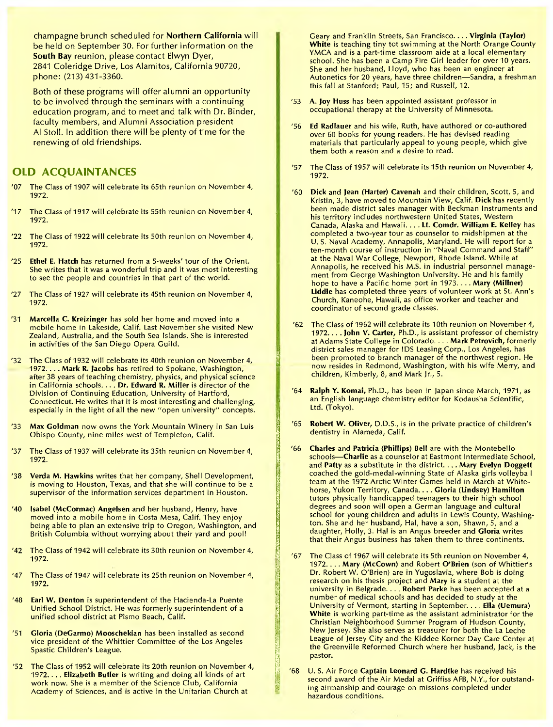champagne brunch scheduled for **Northern California** will be held on September 30. For further information on the **South Bay** reunion, please contact Elwyn Dyer, 2841 Coleridge Drive, Los Alamitos, California 90720, phone: (213) 431-3360.

Both of these programs will offer alumni an opportunity to be involved through the seminars with a continuing education program, and to meet and talk with Dr. Binder, faculty members, and Alumni Association president Al Stoll. In addition there will be plenty of time for the renewing of old friendships.

# OLD ACQUAINTANCES

- The Class of 1907 will celebrate its 65th reunion on November 4, 1972.
- '17 The Class of 1917 will celebrate its 55th reunion on November 4, 1972.
- '22 The Class of 1922 will celebrate its 50th reunion on November 4, 1972.
- '25 Ethel E. Hatch has returned from a 5-weeks' tour of the Orient. She writes that it was a wonderful trip and it was most interesting to see the people and countries in that part of the world.
- '27 The Class of 1927 will celebrate its 45th reunion on November 4, 1972.
- '31 Marcella C. Kreizinger has sold her home and moved into a mobile home in Lakeside, Calif. Last November she visited New Zealand, Australia, and the South Sea Islands. She is interested in activities of the San Diego Opera Guild.
- '32 The Class of 1932 will celebrate its 40th reunion on November 4, 1972. . . . Mark R. Jacobs has retired to Spokane, Washington, after 38 years of teaching chemistry, physics, and physical science in California schools. . **. . Dr. Edward R.** Miller is director of the Division of Continuing Education, University of Hartford, Connecticut. He writes that it is most interesting and challenging, especially in the light of all the new "open university" concepts.
- '33 Max **Goldman** now owns the York Mountain Winery in San Luis Obispo County, nine miles west of Templeton, Calif.
- '37 The Class of 1937 will celebrate its 35th reunion on November 4, 1972.
- '38 Verda M. Hawkins writes that her company, Shell Development, is moving to Houston, Texas, and that she will continue to be a supervisor of the information services department in Houston.
- '40 Isabel (McCormac) **Angelsen** and her husband, Henry, have moved into a mobile home in Costa Mesa, Calif. They enjoy being able to plan an extensive trip to Oregon, Washington, and British Columbia without worrying about their yard and pool!
- '42 The Class of 1942 will celebrate its 30th reunion on November 4, 1972.
- '47 The Class of 1947 will celebrate its 25th reunion on November 4, 1972.
- '48 Earl **W. Denton** is superintendent of the Hacienda-La Puente Unified School District. He was formerly superintendent of a unified school district at Pismo Beach, Calif.
- '51 Gloria (DeGarmo) Mooschekian has been installed as second vice president of the Whittier Committee of the Los Angeles Spastic Children's League.
- '52 The Class of 1952 will celebrate its 20th reunion on November 4, 1972. . **. . Elizabeth** Butler is writing and doing all kinds of art work now. She is a member of the Science Club, California Academy of Sciences, and is active in the Unitarian Church at

Geary and Franklin Streets, San Francisco.... Virginia (Taylor) White is teaching tiny tot swimming at the North Orange County YMCA and is a part-time classroom aide at a local elementary school. She has been a Camp Fire Girl leader for over 10 years. She and her husband, Lloyd, who has been an engineer at Autonetics for 20 years, have three children—Sandra, a freshman this fall at Stanford; Paul, 15; and Russell, 12.

- '53 A. Joy **Huss** has been appointed assistant professor in occupational therapy at the University of Minnesota.
- '56 **Ed Radlauer** and his wife, Ruth, have authored or co-authored over 60 books for young readers. He has devised reading materials that particularly appeal to young people, which give them both a reason and a desire to read.
- '57 The Class of 1957 will celebrate its 15th reunion on November 4, 1972.
- '60 Dick and Jean (Harter) Cavenah and their children, Scott, 5, and Kristin, 3, have moved to Mountain View, Calif. Dick has recently been made district sales manager with Beckman Instruments and his territory includes northwestern United States, Western Canada, Alaska and Hawaii. .. . **Lt.** Comdr. William E. Kelley has completed a two-year tour as counselor to midshipmen at the U. S. Naval Academy, Annapolis, Maryland. He will report for a ten-month course of instruction in 'Naval Command and Staff" at the Naval War College, Newport, Rhode Island. While at Annapolis, he received his M.S. in industrial personnel management from George Washington University. He and his family hope to have a Pacific home port in 1973. . . . Mary (Millner) Liddle has completed three years of volunteer work at St. Ann's Church, Kaneohe, Hawaii, as office worker and teacher and coordinator of second grade classes.
- '62 The Class of 1962 will celebrate its 10th reunion on November 4, 1972.... John V. Carter, Ph.D., is assistant professor of chemistry at Adams State College in Colorado. . . . Mark Petrovich, formerly district sales manager for IDS Leasing Corp., Los Angeles, has been promoted to branch manager of the northwest region. He now resides in Redmond, Washington, with his wife Merry, and children, Kimberly, 8, and Mark Jr., 5.
- '64 Ralph Y. Komai, Ph.D., has been in Japan since March, 1971, as an English language chemistry editor for Kodausha Scientific, Ltd. (Tokyo).
- <sup>1</sup>65 **Robert W. Oliver,** D.D.S., is in the private practice of children's dentistry in Alameda, Calif.
- '66 Charles and Patricia (Phillips) Bell are with the Montebello schools—Charlie as a counselor at Eastmont Intermediate School, and Patty as a substitute in the district. . . . Mary Evelyn Doggett coached the gold-medal-winning State of Alaska girls volleyball team at the 1972 Arctic Winter Games held in March at Whitehorse, Yukon Territory, Canada. . . . Gloria (Lindsey) Hamilton tutors physically handicapped teenagers to their high school degrees and soon will open a German language and cultural school for young children and adults in Lewis County, Washington. She and her husband, Hal, have a son, Shawn, 5, and a daughter, Holly, 3. Hal is an Angus breeder and Gloria writes that their Angus business has taken them to three continents.

**CONSTANTING CONSTANT** 

- <sup>1</sup>67 The Class of 1967 will celebrate its 5th reunion on November 4, 1972. . . . Mary **(McCown)** and Robert **O'Brien** (son of Whittier's Dr. Robert W. O'Brien) are in Yugoslavia, where Bob is doing research on his thesis project and Mary is a student at the university in Belgrade. . . . Robert Parke has been accepted at a number of medical schools and has decided to study at the University of Vermont, starting in September. . **. . Ella (Uemura)**  White is working part-time as the assistant administrator for the Christian Neighborhood Summer Program of Hudson County, New Jersey. She also serves as treasurer for both the La Leche League of Jersey City and the Kiddee Korner Day Care Center at the Greenville Reformed Church where her husband, Jack, is the pastor.
- '68 U. S. Air Force Captain Leonard G. Hardtke has received his second award of the Air Medal at Griffiss AFB, N.Y., for outstanding airmanship and courage on missions completed under hazardous conditions.